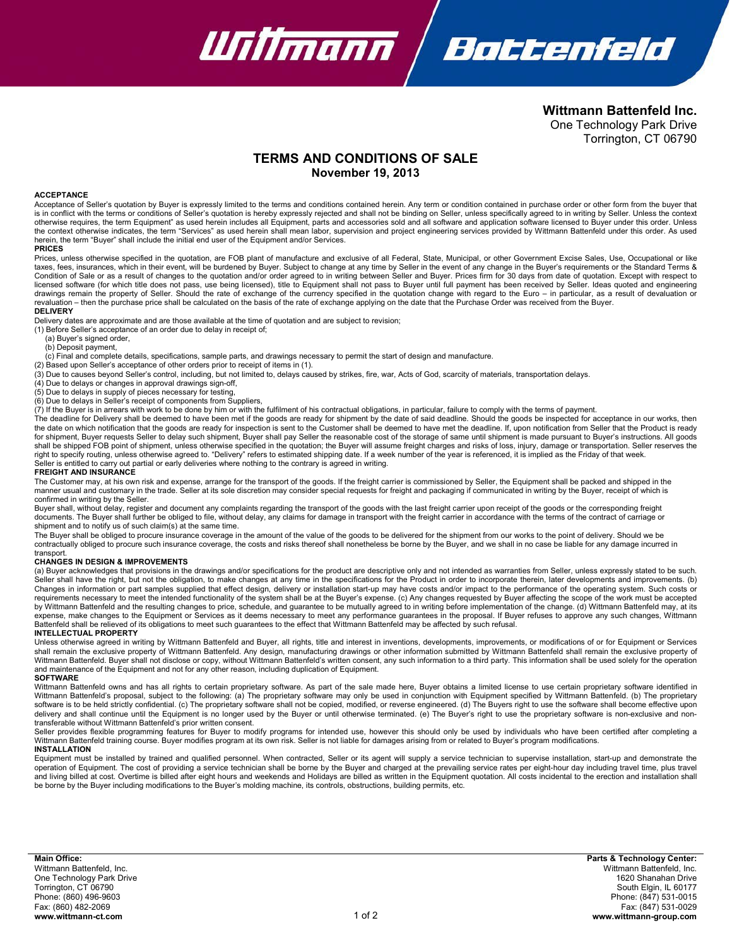

**Wittmann Battenfeld Inc.** One Technology Park Drive Torrington, CT 06790

# **TERMS AND CONDITIONS OF SALE November 19, 2013**

# **ACCEPTANCE**

Acceptance of Seller's quotation by Buyer is expressly limited to the terms and conditions contained herein. Any term or condition contained in purchase order or other form from the buyer that is in conflict with the terms or conditions of Seller's quotation is hereby expressly rejected and shall not be binding on Seller, unless specifically agreed to in writing by Seller. Unless the context<br>otherwise requires, herein, the term "Buyer" shall include the initial end user of the Equipment and/or Services.

#### **PRICES**

Prices, unless otherwise specified in the quotation, are FOB plant of manufacture and exclusive of all Federal, State, Municipal, or other Government Excise Sales, Use, Occupational or like taxes, fees, insurances, which in their event, will be burdened by Buyer. Subject to change at any time by Seller in the event of any change in the Buyer's requirements or the Standard Terms &<br>Condition of Sale or as a res licensed software (for which title does not pass, use being licensed), title to Equipment shall not pass to Buyer until full payment has been received by Seller. Ideas quoted and engineering drawings remain the property of Seller. Should the rate of exchange of the currency specified in the quotation change with regard to the Euro – in particular, as a result of devaluation or revaluation – then the purchase price shall be calculated on the basis of the rate of exchange applying on the date that the Purchase Order was received from the Buyer.

# **DELIVERY**

Delivery dates are approximate and are those available at the time of quotation and are subject to revision;

(1) Before Seller's acceptance of an order due to delay in receipt of;

(a) Buyer's signed order,

(b) Deposit payment,

(c) Final and complete details, specifications, sample parts, and drawings necessary to permit the start of design and manufacture.

(2) Based upon Seller's acceptance of other orders prior to receipt of items in (1).<br>(3) Due to causes beyond Seller's control, including, but not limited to, delays caused by strikes, fire, war, Acts of God, scarcity of m

(4) Due to delays or changes in approval drawings sign-off,

(5) Due to delays in supply of pieces necessary for testing,

(6) Due to delays in Seller's receipt of components from Suppliers,

 $(7)$  If the Buyer is in arrears with work to be done by him or with the fulfilment of his contractual obligations, in particular, failure to comply with the terms of payment.

The deadline for Delivery shall be deemed to have been met if the goods are ready for shipment by the date of said deadline. Should the goods be inspected for acceptance in our works, then the date on which notification that the goods are ready for inspection is sent to the Customer shall be deemed to have met the deadline. If, upon notification from Seller that the Product is ready<br>for shipment, Buyer reque shall be shipped FOB point of shipment, unless otherwise specified in the quotation; the Buyer will assume freight charges and risks of loss, injury, damage or transportation. Seller reserves the right to specify routing, unless otherwise agreed to. "Delivery" refers to estimated shipping date. If a week number of the year is referenced, it is implied as the Friday of that week. Seller is entitled to carry out partial or early deliveries where nothing to the contrary is agreed in writing.

#### **FREIGHT AND INSURANCE**

The Customer may, at his own risk and expense, arrange for the transport of the goods. If the freight carrier is commissioned by Seller, the Equipment shall be packed and shipped in the<br>manner usual and customary in the tr confirmed in writing by the Seller.

Buyer shall, without delay, register and document any complaints regarding the transport of the goods with the last freight carrier upon receipt of the goods or the corresponding freight documents. The Buyer shall further be obliged to file, without delay, any claims for damage in transport with the freight carrier in accordance with the terms of the contract of carriage or shipment and to notify us of such claim(s) at the same time.

The Buyer shall be obliged to procure insurance coverage in the amount of the value of the goods to be delivered for the shipment from our works to the point of delivery. Should we be contractually obliged to procure such insurance coverage, the costs and risks thereof shall nonetheless be borne by the Buyer, and we shall in no case be liable for any damage incurred in transport.

# **CHANGES IN DESIGN & IMPROVEMENTS**

(a) Buyer acknowledges that provisions in the drawings and/or specifications for the product are descriptive only and not intended as warranties from Seller, unless expressly stated to be such. Seller shall have the right, but not the obligation, to make changes at any time in the specifications for the Product in order to incorporate therein, later developments and improvements. (b) Changes in information or part samples supplied that effect design, delivery or installation start-up may have costs and/or impact to the performance of the operating system. Such costs or requirements necessary to meet the intended functionality of the system shall be at the Buyer's expense. (c) Any changes requested by Buyer affecting the scope of the work must be accepted<br>by Wittmann Battenfeld and the re Battenfeld shall be relieved of its obligations to meet such guarantees to the effect that Wittmann Battenfeld may be affected by such refusal. **INTELLECTUAL PROPERTY** 

Unless otherwise agreed in writing by Wittmann Battenfeld and Buyer, all rights, title and interest in inventions, developments, improvements, or modifications of or for Equipment or Services<br>shall remain the exclusive pro Wittmann Battenfeld. Buyer shall not disclose or copy, without Wittmann Battenfeld's written consent, any such information to a third party. This information shall be used solely for the operation and maintenance of the Equipment and not for any other reason, including duplication of Equipment.

#### **SOFTWARE**

Wittmann Battenfeld owns and has all rights to certain proprietary software. As part of the sale made here, Buyer obtains a limited license to use certain proprietary software identified in<br>Wittmann Battenfeld's proposal, delivery and shall continue until the Equipment is no longer used by the Buyer or until otherwise terminated. (e) The Buyer's right to use the proprietary software is non-exclusive and nontransferable without Wittmann Battenfeld's prior written consent.

Seller provides flexible programming features for Buyer to modify programs for intended use, however this should only be used by individuals who have been certified after completing a Wittmann Battenfeld training course. Buyer modifies program at its own risk. Seller is not liable for damages arising from or related to Buyer's program modifications. **INSTALLATION**

Equipment must be installed by trained and qualified personnel. When contracted, Seller or its agent will supply a service technician to supervise installation, start-up and demonstrate the operation of Equipment. The cost of providing a service technician shall be borne by the Buyer and charged at the prevailing service rates per eight-hour day including travel time, plus travel and living billed at cost. Overtime is billed after eight hours and weekends and Holidays are billed as written in the Equipment quotation. All costs incidental to the erection and installation shall be borne by the Buyer including modifications to the Buyer's molding machine, its controls, obstructions, building permits, etc.